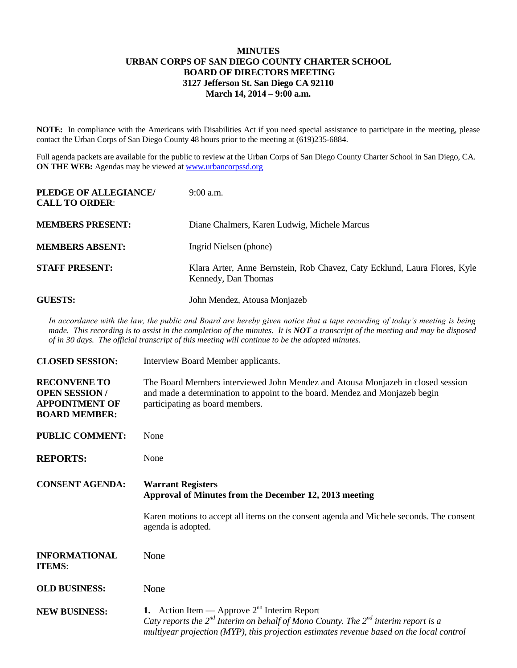## **MINUTES URBAN CORPS OF SAN DIEGO COUNTY CHARTER SCHOOL BOARD OF DIRECTORS MEETING 3127 Jefferson St. San Diego CA 92110 March 14, 2014 – 9:00 a.m.**

**NOTE:** In compliance with the Americans with Disabilities Act if you need special assistance to participate in the meeting, please contact the Urban Corps of San Diego County 48 hours prior to the meeting at (619)235-6884.

Full agenda packets are available for the public to review at the Urban Corps of San Diego County Charter School in San Diego, CA. **ON THE WEB:** Agendas may be viewed at [www.urbancorpssd.org](http://www.urbancorpssd.org/)

| PLEDGE OF ALLEGIANCE/<br><b>CALL TO ORDER:</b> | $9:00$ a.m.                                                                                      |
|------------------------------------------------|--------------------------------------------------------------------------------------------------|
| <b>MEMBERS PRESENT:</b>                        | Diane Chalmers, Karen Ludwig, Michele Marcus                                                     |
| <b>MEMBERS ABSENT:</b>                         | Ingrid Nielsen (phone)                                                                           |
| <b>STAFF PRESENT:</b>                          | Klara Arter, Anne Bernstein, Rob Chavez, Caty Ecklund, Laura Flores, Kyle<br>Kennedy, Dan Thomas |
| <b>GUESTS:</b>                                 | John Mendez, Atousa Monjazeb                                                                     |

*In accordance with the law, the public and Board are hereby given notice that a tape recording of today's meeting is being made. This recording is to assist in the completion of the minutes. It is NOT a transcript of the meeting and may be disposed of in 30 days. The official transcript of this meeting will continue to be the adopted minutes.*

| <b>CLOSED SESSION:</b>                                                                        | Interview Board Member applicants.                                                                                                                                                                                                        |
|-----------------------------------------------------------------------------------------------|-------------------------------------------------------------------------------------------------------------------------------------------------------------------------------------------------------------------------------------------|
| <b>RECONVENE TO</b><br><b>OPEN SESSION /</b><br><b>APPOINTMENT OF</b><br><b>BOARD MEMBER:</b> | The Board Members interviewed John Mendez and Atousa Monjazeb in closed session<br>and made a determination to appoint to the board. Mendez and Monjazeb begin<br>participating as board members.                                         |
| <b>PUBLIC COMMENT:</b>                                                                        | None                                                                                                                                                                                                                                      |
| <b>REPORTS:</b>                                                                               | None                                                                                                                                                                                                                                      |
| <b>CONSENT AGENDA:</b>                                                                        | <b>Warrant Registers</b><br>Approval of Minutes from the December 12, 2013 meeting                                                                                                                                                        |
|                                                                                               | Karen motions to accept all items on the consent agenda and Michele seconds. The consent<br>agenda is adopted.                                                                                                                            |
| <b>INFORMATIONAL</b><br><b>ITEMS:</b>                                                         | None                                                                                                                                                                                                                                      |
| <b>OLD BUSINESS:</b>                                                                          | None                                                                                                                                                                                                                                      |
| <b>NEW BUSINESS:</b>                                                                          | 1. Action Item — Approve $2nd$ Interim Report<br>Caty reports the $2^{nd}$ Interim on behalf of Mono County. The $2^{nd}$ interim report is a<br>multiyear projection (MYP), this projection estimates revenue based on the local control |